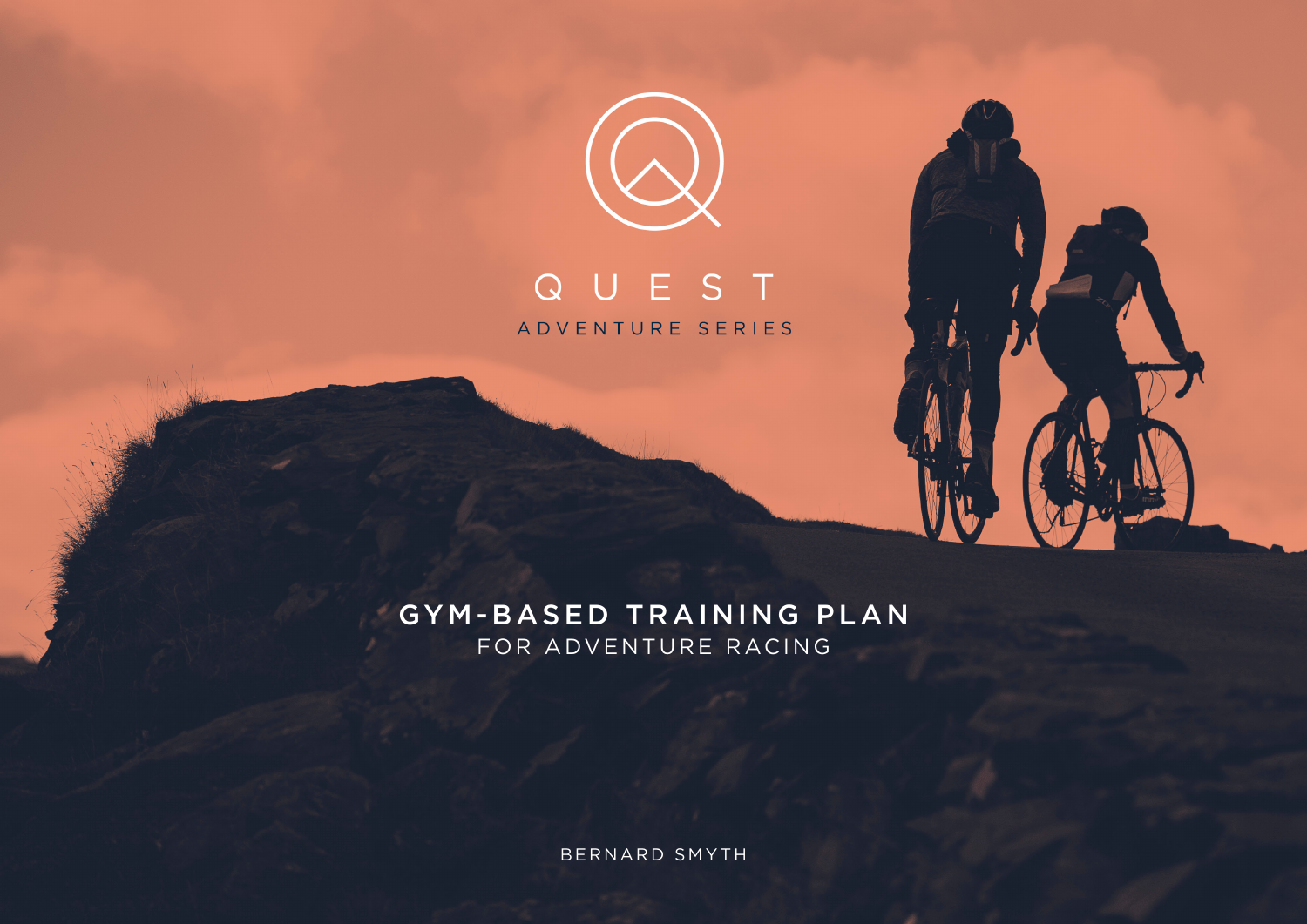

# QUEST ADVENTURE SERIES

## GYM-BASED TRAINING PLAN FOR ADVENTURE RACING

BERNARD SMYTH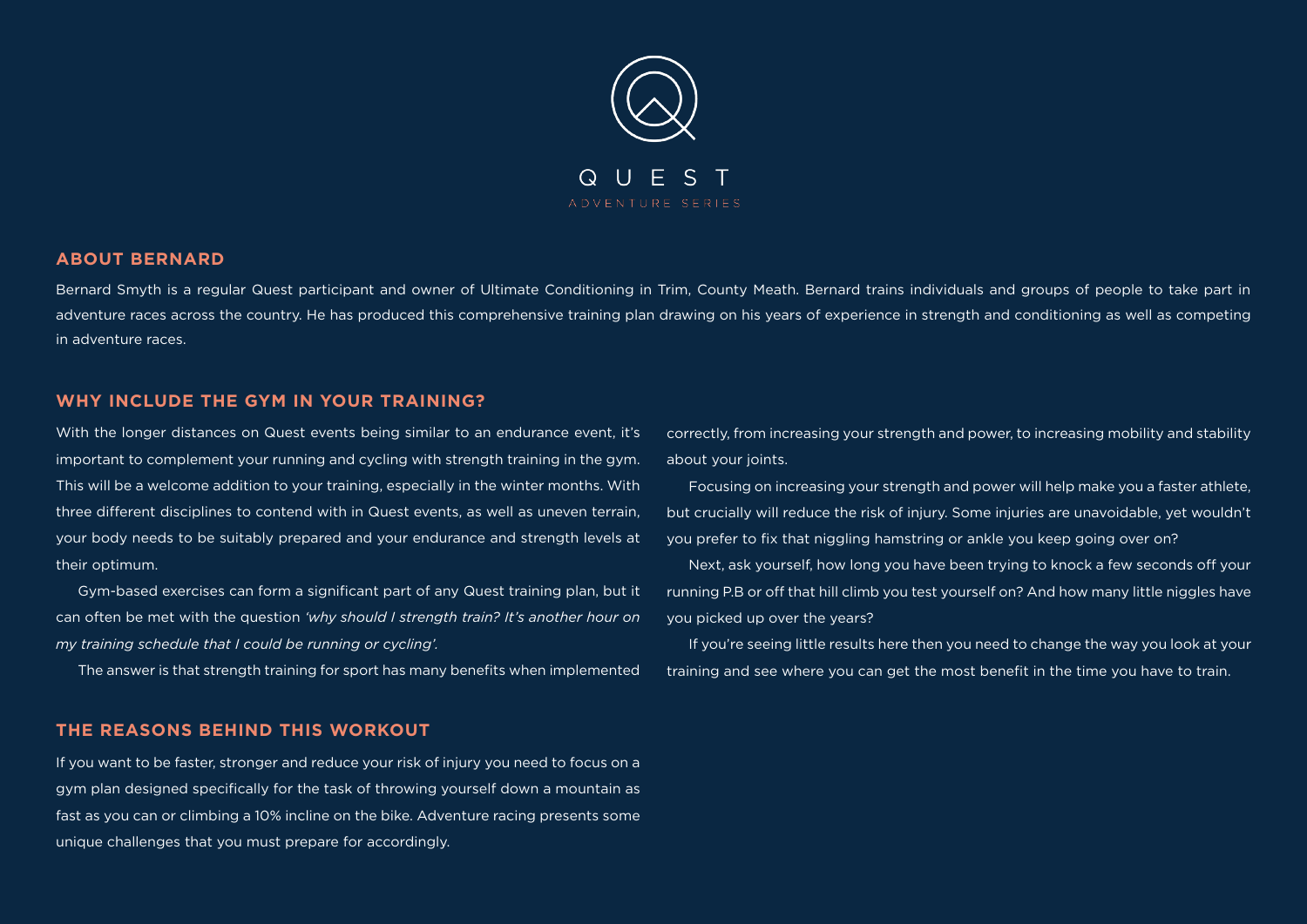

#### **ABOUT BERNARD**

Bernard Smyth is a regular Quest participant and owner of Ultimate Conditioning in Trim, County Meath. Bernard trains individuals and groups of people to take part in adventure races across the country. He has produced this comprehensive training plan drawing on his years of experience in strength and conditioning as well as competing in adventure races.

#### **WHY INCLUDE THE GYM IN YOUR TRAINING?**

With the longer distances on Quest events being similar to an endurance event, it's important to complement your running and cycling with strength training in the gym. This will be a welcome addition to your training, especially in the winter months. With three different disciplines to contend with in Quest events, as well as uneven terrain, your body needs to be suitably prepared and your endurance and strength levels at their optimum.

Gym-based exercises can form a significant part of any Quest training plan, but it can often be met with the question *'why should I strength train? It's another hour on my training schedule that I could be running or cycling'.*

The answer is that strength training for sport has many benefits when implemented

#### **THE REASONS BEHIND THIS WORKOUT**

If you want to be faster, stronger and reduce your risk of injury you need to focus on a gym plan designed specifically for the task of throwing yourself down a mountain as fast as you can or climbing a 10% incline on the bike. Adventure racing presents some unique challenges that you must prepare for accordingly.

correctly, from increasing your strength and power, to increasing mobility and stability about your joints.

Focusing on increasing your strength and power will help make you a faster athlete, but crucially will reduce the risk of injury. Some injuries are unavoidable, yet wouldn't you prefer to fix that niggling hamstring or ankle you keep going over on?

Next, ask yourself, how long you have been trying to knock a few seconds off your running P.B or off that hill climb you test yourself on? And how many little niggles have you picked up over the years?

If you're seeing little results here then you need to change the way you look at your training and see where you can get the most benefit in the time you have to train.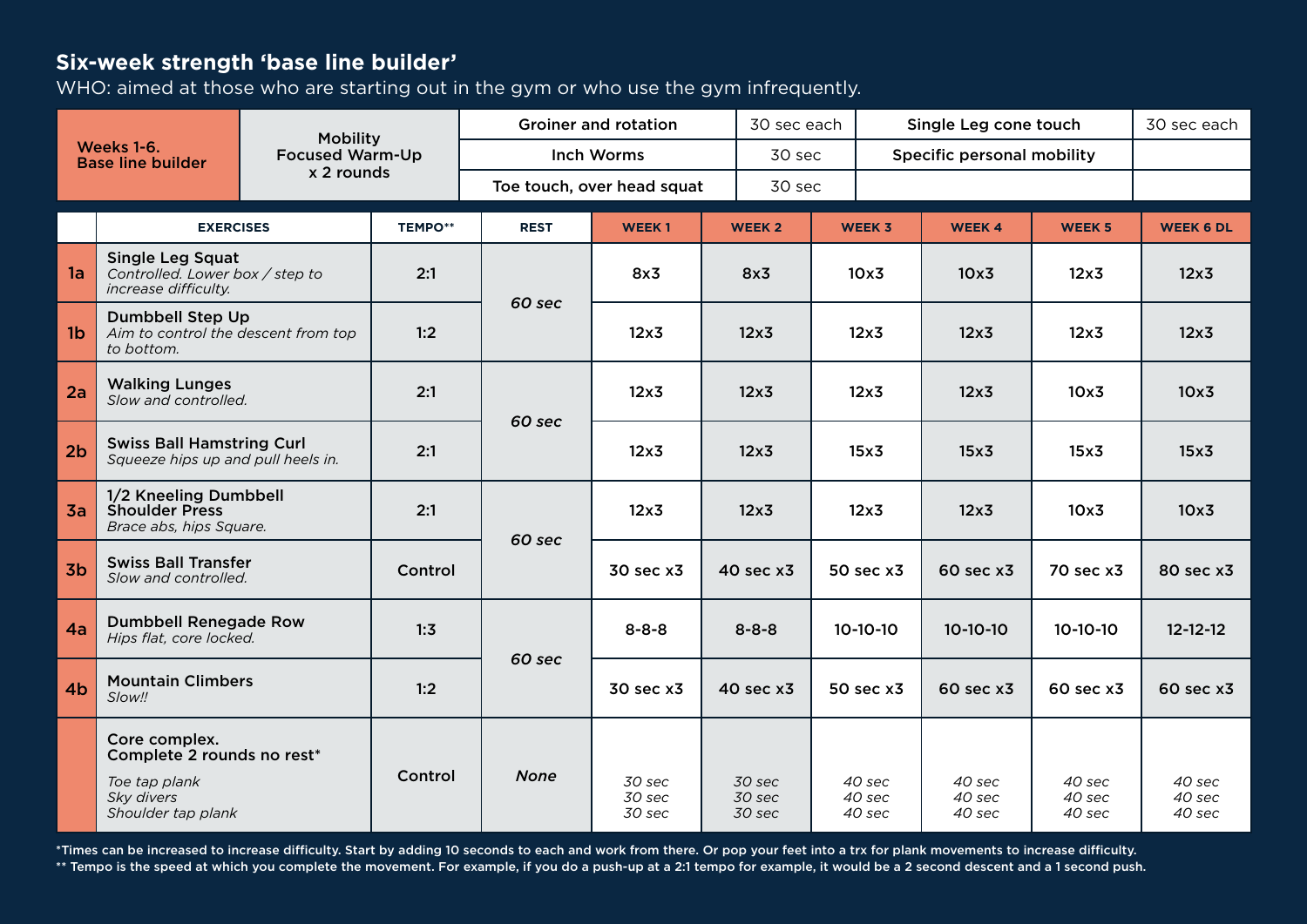## **Six-week strength 'base line builder'**

WHO: aimed at those who are starting out in the gym or who use the gym infrequently.

| <b>Mobility</b><br>Weeks 1-6.<br><b>Focused Warm-Up</b><br><b>Base line builder</b><br>x 2 rounds |                                                                                                                                 |  |                            | <b>Groiner and rotation</b> | 30 sec each                |                            | Single Leg cone touch      | 30 sec each                |                            |                            |
|---------------------------------------------------------------------------------------------------|---------------------------------------------------------------------------------------------------------------------------------|--|----------------------------|-----------------------------|----------------------------|----------------------------|----------------------------|----------------------------|----------------------------|----------------------------|
|                                                                                                   |                                                                                                                                 |  | <b>Inch Worms</b>          | 30 sec                      |                            | Specific personal mobility |                            |                            |                            |                            |
|                                                                                                   |                                                                                                                                 |  | Toe touch, over head squat |                             | 30 sec                     |                            |                            |                            |                            |                            |
|                                                                                                   | <b>EXERCISES</b>                                                                                                                |  | <b>TEMPO**</b>             | <b>REST</b>                 | <b>WEEK1</b>               | <b>WEEK 2</b>              | WEEK 3                     | <b>WEEK4</b>               | <b>WEEK 5</b>              | <b>WEEK 6 DL</b>           |
| 1a                                                                                                | <b>Single Leg Squat</b><br>Controlled. Lower box / step to<br>increase difficulty.                                              |  | 2:1                        | 60 sec                      | 8x3                        | 8x3                        | 10x3                       | 10x3                       | 12x3                       | 12x3                       |
| 1 <sub>b</sub>                                                                                    | <b>Dumbbell Step Up</b><br>Aim to control the descent from top<br>to bottom.                                                    |  | 1:2                        |                             | $12\times 3$               | $12\times 3$               | 12x3                       | 12x3                       | 12x3                       | 12x3                       |
| 2a                                                                                                | <b>Walking Lunges</b><br>Slow and controlled.<br><b>Swiss Ball Hamstring Curl</b><br>Squeeze hips up and pull heels in.         |  | 2:1                        | 60 sec                      | $12\times 3$               | $12\times 3$               | $12\times 3$               | 12x <sub>3</sub>           | 10x3                       | 10x3                       |
| 2 <sub>b</sub>                                                                                    |                                                                                                                                 |  | 2:1                        |                             | 12x3                       | $12\times 3$               | 15x3                       | 15x3                       | 15x <sub>3</sub>           | 15x3                       |
| 3a                                                                                                | 1/2 Kneeling Dumbbell<br><b>Shoulder Press</b><br>Brace abs, hips Square.<br><b>Swiss Ball Transfer</b><br>Slow and controlled. |  | 2:1                        | 60 sec                      | 12x3                       | $12\times 3$               | $12\times 3$               | 12x3                       | 10x3                       | 10x3                       |
| 3 <sub>b</sub>                                                                                    |                                                                                                                                 |  | Control                    |                             | 30 sec x3                  | 40 sec x3                  | 50 sec x3                  | 60 sec x3                  | 70 sec x3                  | 80 sec x3                  |
| 4a                                                                                                | <b>Dumbbell Renegade Row</b><br>Hips flat, core locked.                                                                         |  | 1:3                        | 60 sec                      | $8 - 8 - 8$                | $8 - 8 - 8$                | $10-10-10$                 | $10-10-10$                 | $10-10-10$                 | $12 - 12 - 12$             |
| 4 <sub>b</sub>                                                                                    | <b>Mountain Climbers</b><br>Slow!!                                                                                              |  | 1:2                        |                             | 30 sec x3                  | 40 sec x3                  | 50 sec x3                  | 60 sec x3                  | 60 sec x3                  | 60 sec x3                  |
|                                                                                                   | Core complex.<br>Complete 2 rounds no rest*<br>Toe tap plank<br>Sky divers<br>Shoulder tap plank                                |  | Control                    | <b>None</b>                 | 30 sec<br>30 sec<br>30 sec | 30 sec<br>30 sec<br>30 sec | 40 sec<br>40 sec<br>40 sec | 40 sec<br>40 sec<br>40 sec | 40 sec<br>40 sec<br>40 sec | 40 sec<br>40 sec<br>40 sec |

\*Times can be increased to increase difficulty. Start by adding 10 seconds to each and work from there. Or pop your feet into a trx for plank movements to increase difficulty. \*\* Tempo is the speed at which you complete the movement. For example, if you do a push-up at a 2:1 tempo for example, it would be a 2 second descent and a 1 second push.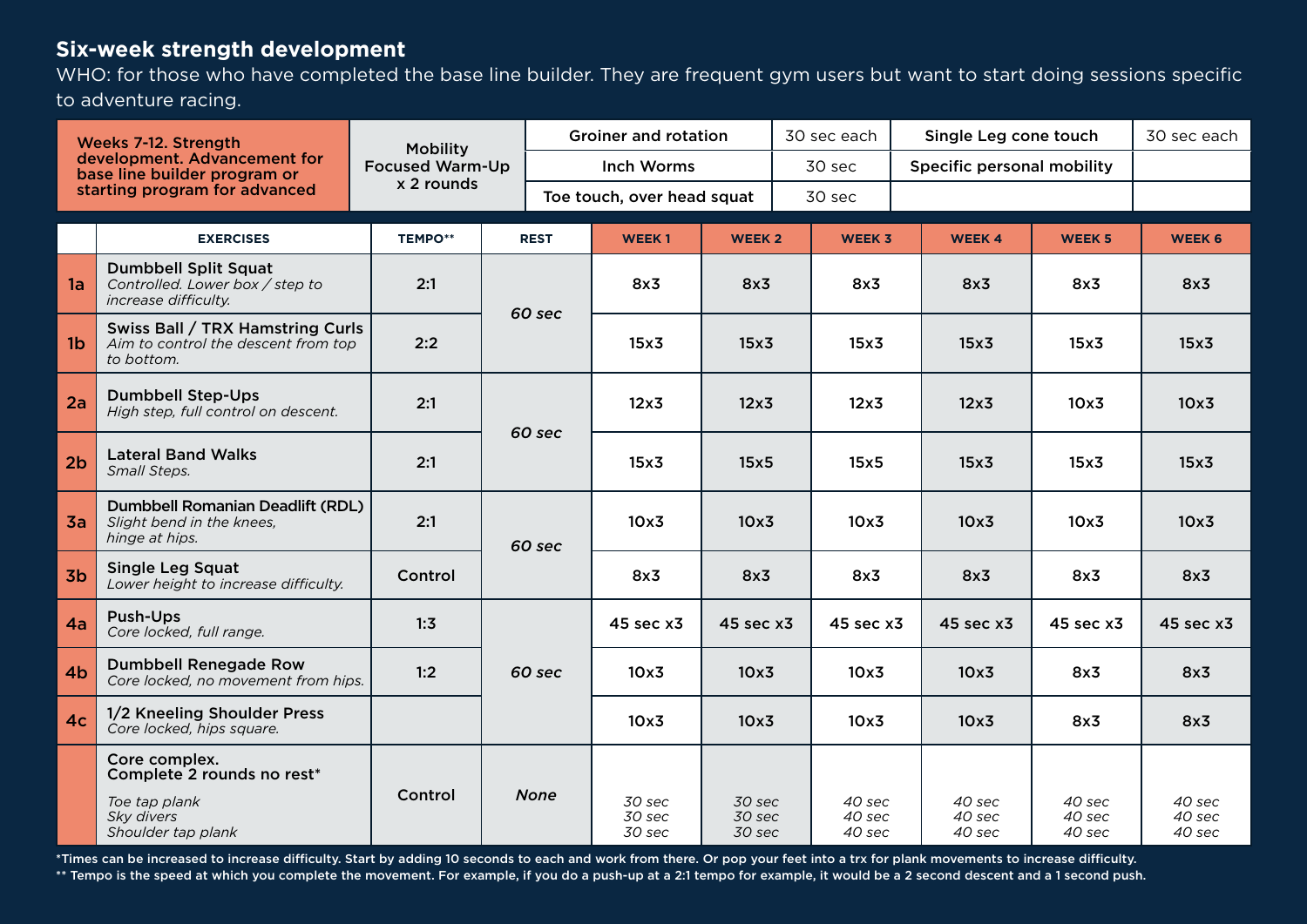### **Six-week strength development**

WHO: for those who have completed the base line builder. They are frequent gym users but want to start doing sessions specific to adventure racing.

| Weeks 7-12. Strength<br>development. Advancement for<br>base line builder program or<br>starting program for advanced |                                                                                                  | <b>Mobility</b><br><b>Focused Warm-Up</b><br>x 2 rounds |             | <b>Groiner and rotation</b> |                            |                            | 30 sec each |                            | Single Leg cone touch      |                            | 30 sec each                |
|-----------------------------------------------------------------------------------------------------------------------|--------------------------------------------------------------------------------------------------|---------------------------------------------------------|-------------|-----------------------------|----------------------------|----------------------------|-------------|----------------------------|----------------------------|----------------------------|----------------------------|
|                                                                                                                       |                                                                                                  |                                                         |             | Inch Worms                  |                            |                            | 30 sec      |                            | Specific personal mobility |                            |                            |
|                                                                                                                       |                                                                                                  |                                                         |             | Toe touch, over head squat  |                            |                            | 30 sec      |                            |                            |                            |                            |
|                                                                                                                       | <b>EXERCISES</b>                                                                                 | <b>TEMPO**</b>                                          | <b>REST</b> |                             | <b>WEEK1</b>               | <b>WEEK 2</b>              |             | <b>WEEK 3</b>              | <b>WEEK4</b>               | <b>WEEK 5</b>              | <b>WEEK 6</b>              |
| 1a                                                                                                                    | <b>Dumbbell Split Squat</b><br>Controlled. Lower box / step to<br>increase difficulty.           | 2:1                                                     | 60 sec      |                             | 8x3                        | 8x3<br>15x3                |             | 8x3                        | 8x3                        | 8x3                        | 8x3                        |
| 1 <sub>b</sub>                                                                                                        | Swiss Ball / TRX Hamstring Curls<br>Aim to control the descent from top<br>to bottom.            | 2:2                                                     |             |                             | 15x <sub>3</sub>           |                            |             | 15x <sub>3</sub>           | 15x3                       | 15x3                       | 15x3                       |
| 2a                                                                                                                    | <b>Dumbbell Step-Ups</b><br>High step, full control on descent.                                  | 2:1                                                     | 60 sec      |                             | $12\times 3$               | $12\times 3$               |             | $12\times 3$               | 12x3                       | 10x3                       | 10x3                       |
| 2 <sub>b</sub>                                                                                                        | <b>Lateral Band Walks</b><br>Small Steps.                                                        | 2:1                                                     |             |                             | 15x3                       | 15x5                       |             | 15x5                       | 15x3                       | 15x3                       | 15x3                       |
| 3a                                                                                                                    | Dumbbell Romanian Deadlift (RDL)<br>Slight bend in the knees,<br>hinge at hips.                  | 2:1                                                     | 60 sec      | 10x3                        | 10x3                       |                            | 10x3        | 10x3                       | 10x3                       | 10x3                       |                            |
| 3 <sub>b</sub>                                                                                                        | <b>Single Leg Squat</b><br>Lower height to increase difficulty.                                  | Control                                                 |             |                             | 8x3                        | 8x3                        |             | 8x3                        | 8x3                        | 8x3                        | 8x3                        |
| 4a                                                                                                                    | Push-Ups<br>Core locked, full range.                                                             | 1:3                                                     |             |                             | 45 sec x3                  | 45 sec x3                  |             | 45 sec x3                  | 45 sec x3                  | 45 sec x3                  | 45 sec x3                  |
| 4 <sub>b</sub>                                                                                                        | <b>Dumbbell Renegade Row</b><br>Core locked, no movement from hips.                              | 1:2                                                     | 60 sec      |                             | 10x3                       | 10x3                       |             | 10x3                       | 10x3                       | 8x3                        | 8x3                        |
| 4 <sub>c</sub>                                                                                                        | 1/2 Kneeling Shoulder Press<br>Core locked, hips square.                                         |                                                         |             |                             | 10x3                       | 10x3                       |             | 10x3                       | 10x3                       | 8x3                        | 8x3                        |
|                                                                                                                       | Core complex.<br>Complete 2 rounds no rest*<br>Toe tap plank<br>Sky divers<br>Shoulder tap plank | Control                                                 |             | <b>None</b>                 | 30 sec<br>30 sec<br>30 sec | 30 sec<br>30 sec<br>30 sec |             | 40 sec<br>40 sec<br>40 sec | 40 sec<br>40 sec<br>40 sec | 40 sec<br>40 sec<br>40 sec | 40 sec<br>40 sec<br>40 sec |

\*Times can be increased to increase difficulty. Start by adding 10 seconds to each and work from there. Or pop your feet into a trx for plank movements to increase difficulty.

\*\* Tempo is the speed at which you complete the movement. For example, if you do a push-up at a 2:1 tempo for example, it would be a 2 second descent and a 1 second push.